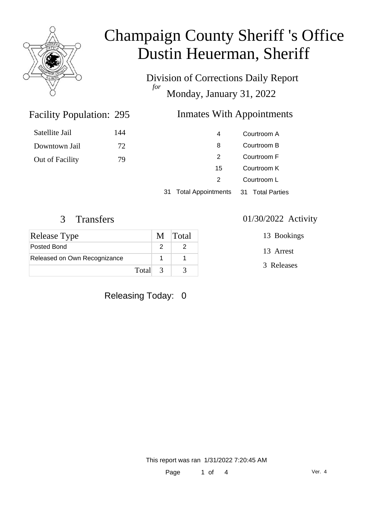

# Champaign County Sheriff 's Office Dustin Heuerman, Sheriff

Division of Corrections Daily Report *for* Monday, January 31, 2022

### Inmates With Appointments

| Satellite Jail  | 144 | 4  | Courtroom A |
|-----------------|-----|----|-------------|
| Downtown Jail   | 72  | 8  | Courtroom B |
| Out of Facility | 79  |    | Courtroom F |
|                 |     | 15 | Courtroom K |
|                 |     |    | Courtroom L |
|                 |     |    |             |

31 Total Appointments 31 Total Parties

Facility Population: 295

| <b>Release Type</b>          | M Total |
|------------------------------|---------|
| Posted Bond                  |         |
| Released on Own Recognizance |         |
| Total 3                      |         |

### Releasing Today: 0

#### 3 Transfers 01/30/2022 Activity

- 13 Bookings
- 13 Arrest
- 3 Releases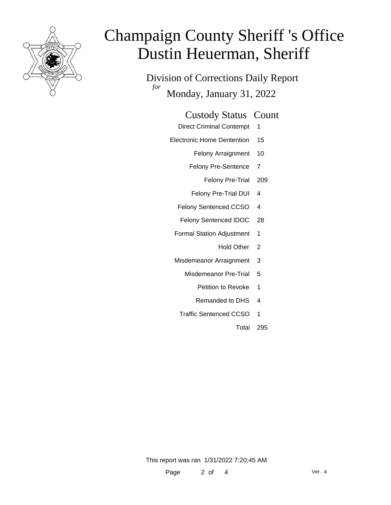

# Champaign County Sheriff 's Office Dustin Heuerman, Sheriff

Division of Corrections Daily Report *for* Monday, January 31, 2022

| <b>Custody Status Count</b>     |  |
|---------------------------------|--|
| <b>Direct Criminal Contempt</b> |  |
| Electronic Home Dentention 15   |  |
| Felony Arraignment 10           |  |

Felony Pre-Sentence 7

Felony Pre-Trial 209

- Felony Pre-Trial DUI 4
- Felony Sentenced CCSO 4
- Felony Sentenced IDOC 28
- Formal Station Adjustment 1
	- Hold Other 2
- Misdemeanor Arraignment 3
	- Misdemeanor Pre-Trial 5
		- Petition to Revoke 1
		- Remanded to DHS 4
	- Traffic Sentenced CCSO 1

Total 295

This report was ran 1/31/2022 7:20:45 AM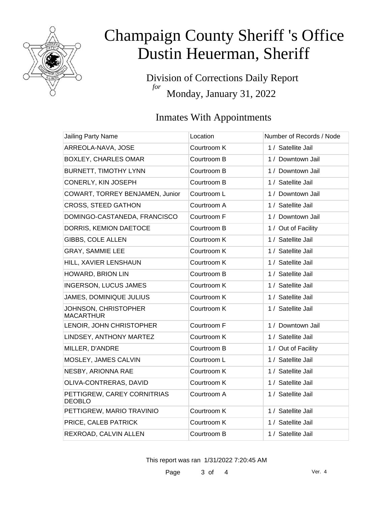

# Champaign County Sheriff 's Office Dustin Heuerman, Sheriff

Division of Corrections Daily Report *for* Monday, January 31, 2022

### Inmates With Appointments

| <b>Jailing Party Name</b>                    | Location    | Number of Records / Node |
|----------------------------------------------|-------------|--------------------------|
| ARREOLA-NAVA, JOSE                           | Courtroom K | 1 / Satellite Jail       |
| <b>BOXLEY, CHARLES OMAR</b>                  | Courtroom B | 1 / Downtown Jail        |
| <b>BURNETT, TIMOTHY LYNN</b>                 | Courtroom B | 1 / Downtown Jail        |
| CONERLY, KIN JOSEPH                          | Courtroom B | 1 / Satellite Jail       |
| COWART, TORREY BENJAMEN, Junior              | Courtroom L | 1 / Downtown Jail        |
| <b>CROSS, STEED GATHON</b>                   | Courtroom A | 1 / Satellite Jail       |
| DOMINGO-CASTANEDA, FRANCISCO                 | Courtroom F | 1 / Downtown Jail        |
| DORRIS, KEMION DAETOCE                       | Courtroom B | 1 / Out of Facility      |
| GIBBS, COLE ALLEN                            | Courtroom K | 1 / Satellite Jail       |
| GRAY, SAMMIE LEE                             | Courtroom K | 1 / Satellite Jail       |
| HILL, XAVIER LENSHAUN                        | Courtroom K | 1 / Satellite Jail       |
| HOWARD, BRION LIN                            | Courtroom B | 1 / Satellite Jail       |
| <b>INGERSON, LUCUS JAMES</b>                 | Courtroom K | 1 / Satellite Jail       |
| JAMES, DOMINIQUE JULIUS                      | Courtroom K | 1 / Satellite Jail       |
| JOHNSON, CHRISTOPHER<br><b>MACARTHUR</b>     | Courtroom K | 1 / Satellite Jail       |
| LENOIR, JOHN CHRISTOPHER                     | Courtroom F | 1 / Downtown Jail        |
| LINDSEY, ANTHONY MARTEZ                      | Courtroom K | 1 / Satellite Jail       |
| MILLER, D'ANDRE                              | Courtroom B | 1 / Out of Facility      |
| MOSLEY, JAMES CALVIN                         | Courtroom L | 1 / Satellite Jail       |
| NESBY, ARIONNA RAE                           | Courtroom K | 1 / Satellite Jail       |
| OLIVA-CONTRERAS, DAVID                       | Courtroom K | 1 / Satellite Jail       |
| PETTIGREW, CAREY CORNITRIAS<br><b>DEOBLO</b> | Courtroom A | 1 / Satellite Jail       |
| PETTIGREW, MARIO TRAVINIO                    | Courtroom K | 1 / Satellite Jail       |
| PRICE, CALEB PATRICK                         | Courtroom K | 1 / Satellite Jail       |
| REXROAD, CALVIN ALLEN                        | Courtroom B | 1 / Satellite Jail       |

This report was ran 1/31/2022 7:20:45 AM